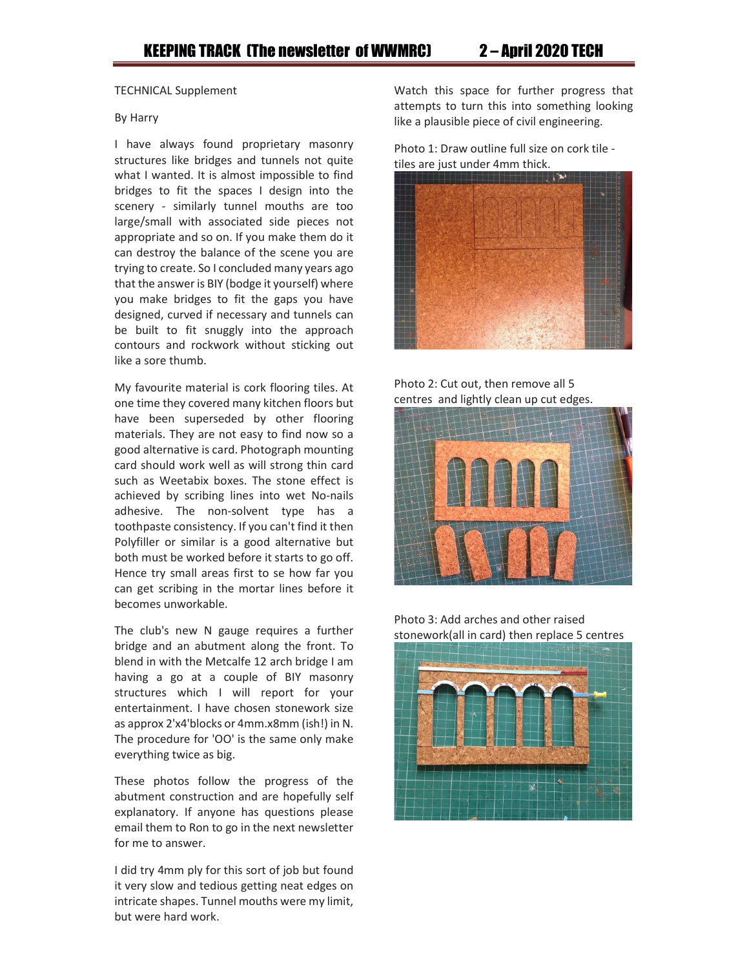## TECHNICAL Supplement

## By Harry

I have always found proprietary masonry structures like bridges and tunnels not quite what I wanted. It is almost impossible to find bridges to fit the spaces I design into the scenery - similarly tunnel mouths are too large/small with associated side pieces not appropriate and so on. If you make them do it can destroy the balance of the scene you are trying to create. So I concluded many years ago that the answer is BIY (bodge it yourself) where you make bridges to fit the gaps you have designed, curved if necessary and tunnels can be built to fit snuggly into the approach contours and rockwork without sticking out like a sore thumb.

My favourite material is cork flooring tiles. At one time they covered many kitchen floors but have been superseded by other flooring materials. They are not easy to find now so a good alternative is card. Photograph mounting card should work well as will strong thin card such as Weetabix boxes. The stone effect is achieved by scribing lines into wet No-nails adhesive. The non-solvent type has a toothpaste consistency. If you can't find it then Polyfiller or similar is a good alternative but both must be worked before it starts to go off. Hence try small areas first to se how far you can get scribing in the mortar lines before it becomes unworkable.

The club's new N gauge requires a further bridge and an abutment along the front. To blend in with the Metcalfe 12 arch bridge I am having a go at a couple of BIY masonry structures which I will report for your entertainment. I have chosen stonework size as approx 2'x4'blocks or 4mm.x8mm (ish!) in N. The procedure for 'OO' is the same only make everything twice as big.

These photos follow the progress of the abutment construction and are hopefully self explanatory. If anyone has questions please email them to Ron to go in the next newsletter for me to answer.

I did try 4mm ply for this sort of job but found it very slow and tedious getting neat edges on intricate shapes. Tunnel mouths were my limit, but were hard work.

Watch this space for further progress that attempts to turn this into something looking like a plausible piece of civil engineering.

Photo 1: Draw outline full size on cork tile tiles are just under 4mm thick.



Photo 2: Cut out, then remove all 5 centres and lightly clean up cut edges.



Photo 3: Add arches and other raised stonework(all in card) then replace 5 centres